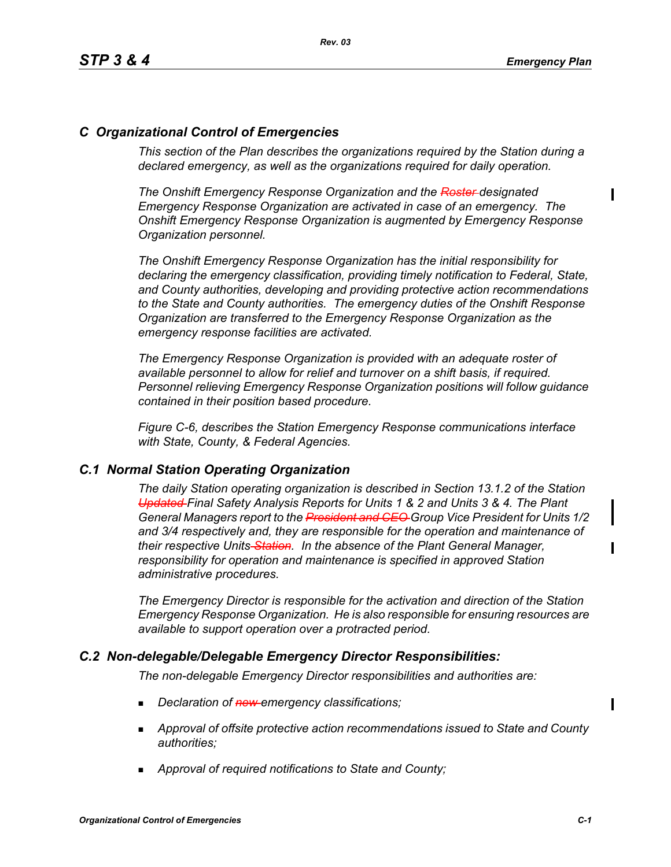# *C Organizational Control of Emergencies*

*This section of the Plan describes the organizations required by the Station during a declared emergency, as well as the organizations required for daily operation.*

*The Onshift Emergency Response Organization and the Roster designated Emergency Response Organization are activated in case of an emergency. The Onshift Emergency Response Organization is augmented by Emergency Response Organization personnel.* 

*The Onshift Emergency Response Organization has the initial responsibility for declaring the emergency classification, providing timely notification to Federal, State, and County authorities, developing and providing protective action recommendations to the State and County authorities. The emergency duties of the Onshift Response Organization are transferred to the Emergency Response Organization as the emergency response facilities are activated.* 

*The Emergency Response Organization is provided with an adequate roster of available personnel to allow for relief and turnover on a shift basis, if required. Personnel relieving Emergency Response Organization positions will follow guidance contained in their position based procedure.*

*Figure C-6, describes the Station Emergency Response communications interface with State, County, & Federal Agencies.*

#### *C.1 Normal Station Operating Organization*

*The daily Station operating organization is described in Section 13.1.2 of the Station Updated Final Safety Analysis Reports for Units 1 & 2 and Units 3 & 4. The Plant General Managers report to the President and CEO Group Vice President for Units 1/2 and 3/4 respectively and, they are responsible for the operation and maintenance of their respective Units Station. In the absence of the Plant General Manager, responsibility for operation and maintenance is specified in approved Station administrative procedures.*

*The Emergency Director is responsible for the activation and direction of the Station Emergency Response Organization. He is also responsible for ensuring resources are available to support operation over a protracted period.*

#### *C.2 Non-delegable/Delegable Emergency Director Responsibilities:*

*The non-delegable Emergency Director responsibilities and authorities are:*

- *Declaration of new emergency classifications;*
- *Approval of offsite protective action recommendations issued to State and County authorities;*
- *Approval of required notifications to State and County;*

 $\blacksquare$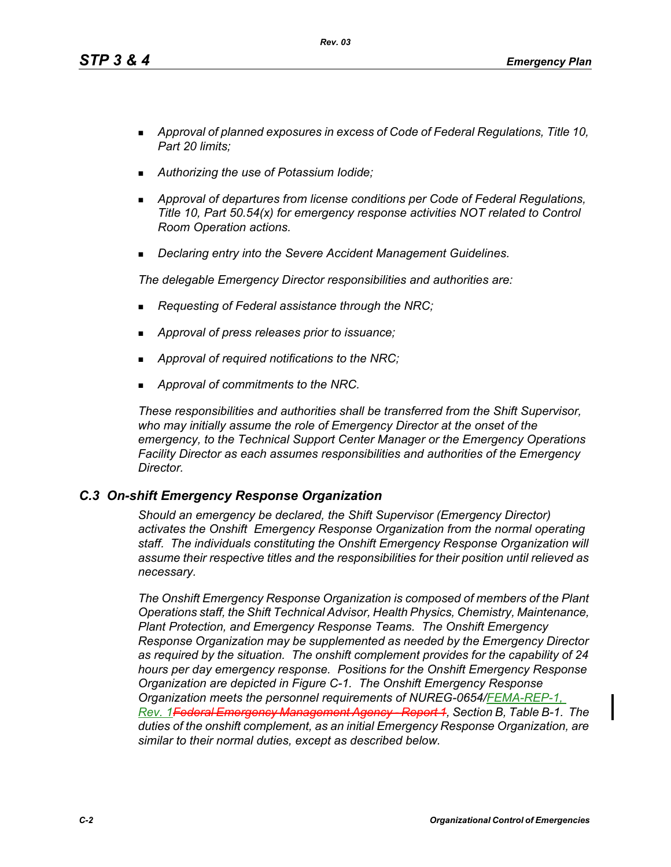*Rev. 03*

- *Approval of planned exposures in excess of Code of Federal Regulations, Title 10, Part 20 limits;*
- *Authorizing the use of Potassium Iodide;*
- *Approval of departures from license conditions per Code of Federal Regulations, Title 10, Part 50.54(x) for emergency response activities NOT related to Control Room Operation actions.*
- *Declaring entry into the Severe Accident Management Guidelines.*

*The delegable Emergency Director responsibilities and authorities are:*

- *Requesting of Federal assistance through the NRC;*
- *Approval of press releases prior to issuance;*
- *Approval of required notifications to the NRC;*
- *Approval of commitments to the NRC.*

*These responsibilities and authorities shall be transferred from the Shift Supervisor, who may initially assume the role of Emergency Director at the onset of the emergency, to the Technical Support Center Manager or the Emergency Operations Facility Director as each assumes responsibilities and authorities of the Emergency Director.*

# *C.3 On-shift Emergency Response Organization*

*Should an emergency be declared, the Shift Supervisor (Emergency Director) activates the Onshift Emergency Response Organization from the normal operating staff. The individuals constituting the Onshift Emergency Response Organization will assume their respective titles and the responsibilities for their position until relieved as necessary.*

*The Onshift Emergency Response Organization is composed of members of the Plant Operations staff, the Shift Technical Advisor, Health Physics, Chemistry, Maintenance, Plant Protection, and Emergency Response Teams. The Onshift Emergency Response Organization may be supplemented as needed by the Emergency Director as required by the situation. The onshift complement provides for the capability of 24 hours per day emergency response. Positions for the Onshift Emergency Response Organization are depicted in Figure C-1. The Onshift Emergency Response Organization meets the personnel requirements of NUREG-0654/FEMA-REP-1, Rev. 1Federal Emergency Management Agency - Report 1, Section B, Table B-1. The duties of the onshift complement, as an initial Emergency Response Organization, are similar to their normal duties, except as described below.*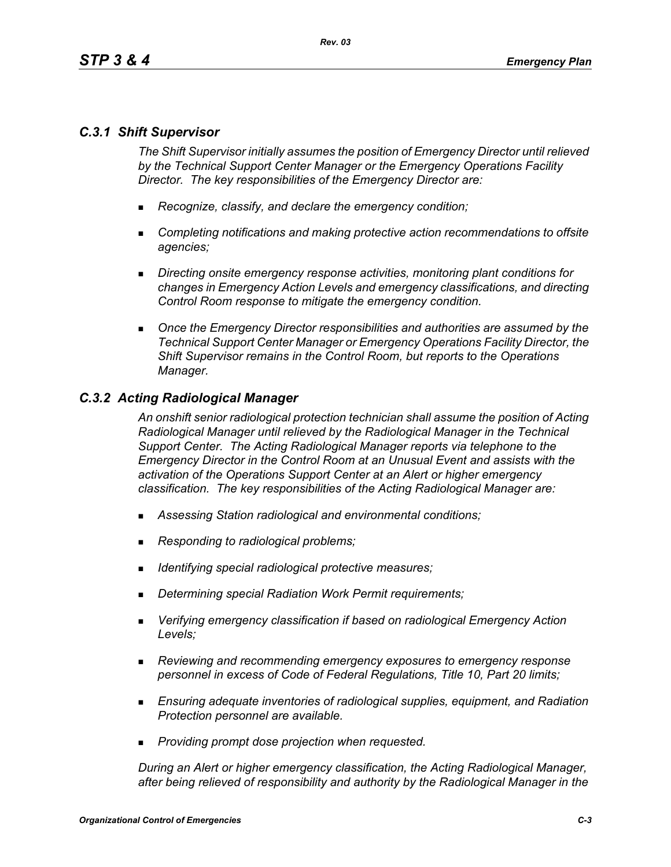# *C.3.1 Shift Supervisor*

*The Shift Supervisor initially assumes the position of Emergency Director until relieved by the Technical Support Center Manager or the Emergency Operations Facility Director. The key responsibilities of the Emergency Director are:*

- *Recognize, classify, and declare the emergency condition;*
- *Completing notifications and making protective action recommendations to offsite agencies;*
- *Directing onsite emergency response activities, monitoring plant conditions for changes in Emergency Action Levels and emergency classifications, and directing Control Room response to mitigate the emergency condition.*
- *Once the Emergency Director responsibilities and authorities are assumed by the Technical Support Center Manager or Emergency Operations Facility Director, the Shift Supervisor remains in the Control Room, but reports to the Operations Manager.*

#### *C.3.2 Acting Radiological Manager*

*An onshift senior radiological protection technician shall assume the position of Acting Radiological Manager until relieved by the Radiological Manager in the Technical Support Center. The Acting Radiological Manager reports via telephone to the Emergency Director in the Control Room at an Unusual Event and assists with the activation of the Operations Support Center at an Alert or higher emergency classification. The key responsibilities of the Acting Radiological Manager are:*

- *Assessing Station radiological and environmental conditions;*
- *Responding to radiological problems;*
- *Identifying special radiological protective measures;*
- *Determining special Radiation Work Permit requirements;*
- *Verifying emergency classification if based on radiological Emergency Action Levels;*
- *Reviewing and recommending emergency exposures to emergency response personnel in excess of Code of Federal Regulations, Title 10, Part 20 limits;*
- *Ensuring adequate inventories of radiological supplies, equipment, and Radiation Protection personnel are available.*
- *Providing prompt dose projection when requested.*

*During an Alert or higher emergency classification, the Acting Radiological Manager, after being relieved of responsibility and authority by the Radiological Manager in the*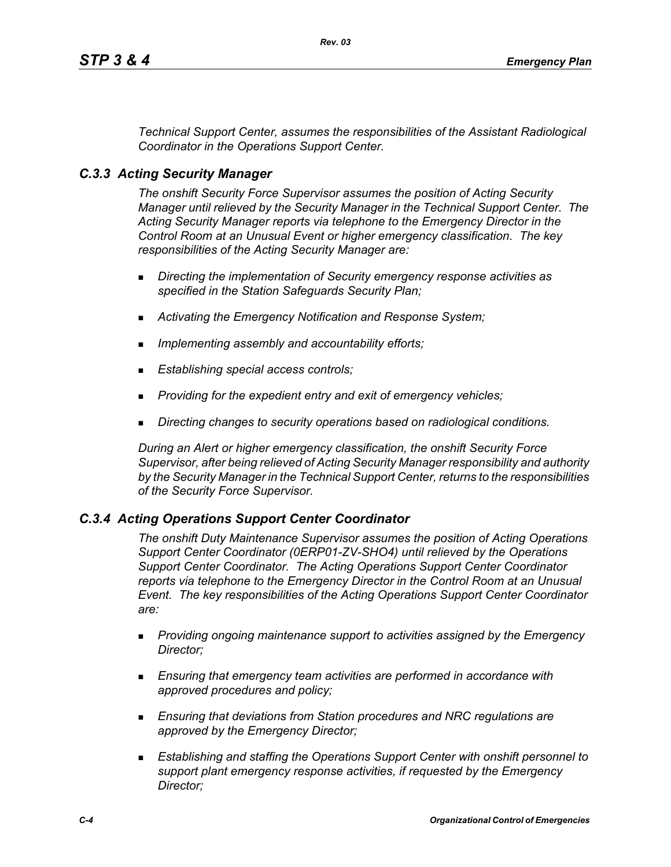*Technical Support Center, assumes the responsibilities of the Assistant Radiological Coordinator in the Operations Support Center.*

# *C.3.3 Acting Security Manager*

*The onshift Security Force Supervisor assumes the position of Acting Security Manager until relieved by the Security Manager in the Technical Support Center. The Acting Security Manager reports via telephone to the Emergency Director in the Control Room at an Unusual Event or higher emergency classification. The key responsibilities of the Acting Security Manager are:*

- *Directing the implementation of Security emergency response activities as specified in the Station Safeguards Security Plan;*
- *Activating the Emergency Notification and Response System;*
- *Implementing assembly and accountability efforts;*
- *Establishing special access controls;*
- *Providing for the expedient entry and exit of emergency vehicles;*
- *Directing changes to security operations based on radiological conditions.*

*During an Alert or higher emergency classification, the onshift Security Force Supervisor, after being relieved of Acting Security Manager responsibility and authority by the Security Manager in the Technical Support Center, returns to the responsibilities of the Security Force Supervisor.*

#### *C.3.4 Acting Operations Support Center Coordinator*

*The onshift Duty Maintenance Supervisor assumes the position of Acting Operations Support Center Coordinator (0ERP01-ZV-SHO4) until relieved by the Operations Support Center Coordinator. The Acting Operations Support Center Coordinator reports via telephone to the Emergency Director in the Control Room at an Unusual Event. The key responsibilities of the Acting Operations Support Center Coordinator are:*

- *Providing ongoing maintenance support to activities assigned by the Emergency Director;*
- *Ensuring that emergency team activities are performed in accordance with approved procedures and policy;*
- *Ensuring that deviations from Station procedures and NRC regulations are approved by the Emergency Director;*
- *Establishing and staffing the Operations Support Center with onshift personnel to support plant emergency response activities, if requested by the Emergency Director;*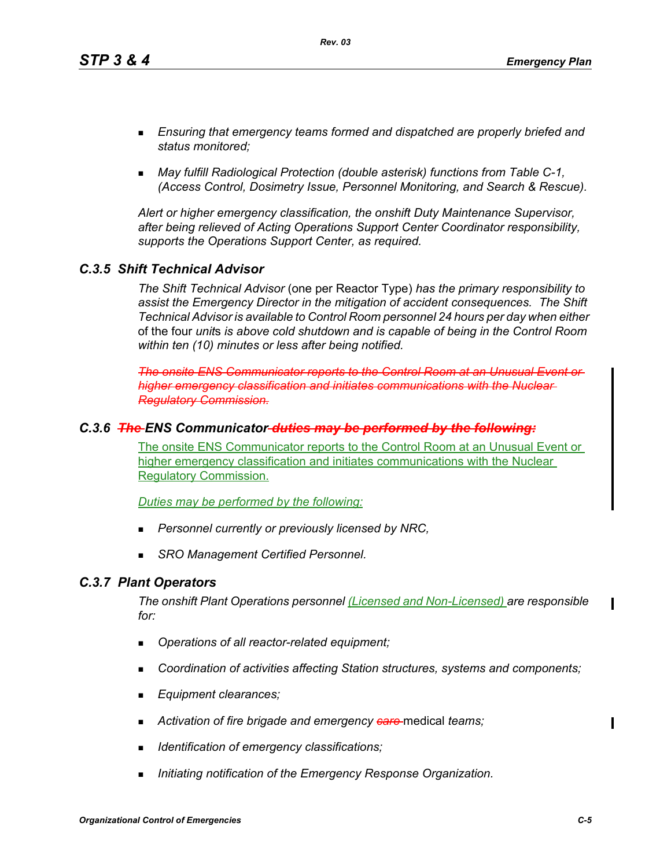*Rev. 03*

- *Ensuring that emergency teams formed and dispatched are properly briefed and status monitored;*
- *May fulfill Radiological Protection (double asterisk) functions from Table C-1, (Access Control, Dosimetry Issue, Personnel Monitoring, and Search & Rescue).*

*Alert or higher emergency classification, the onshift Duty Maintenance Supervisor, after being relieved of Acting Operations Support Center Coordinator responsibility, supports the Operations Support Center, as required.*

# *C.3.5 Shift Technical Advisor*

*The Shift Technical Advisor* (one per Reactor Type) *has the primary responsibility to assist the Emergency Director in the mitigation of accident consequences. The Shift Technical Advisor is available to Control Room personnel 24 hours per day when either*  of the four *unit*s *is above cold shutdown and is capable of being in the Control Room within ten (10) minutes or less after being notified.*

*The onsite ENS Communicator reports to the Control Room at an Unusual Event or higher emergency classification and initiates communications with the Nuclear Regulatory Commission.*

# *C.3.6 The ENS Communicator duties may be performed by the following:*

The onsite ENS Communicator reports to the Control Room at an Unusual Event or higher emergency classification and initiates communications with the Nuclear Regulatory Commission.

*Duties may be performed by the following:*

- *Personnel currently or previously licensed by NRC,*
- *SRO Management Certified Personnel.*

# *C.3.7 Plant Operators*

*The onshift Plant Operations personnel (Licensed and Non-Licensed) are responsible for:*

- *Operations of all reactor-related equipment;*
- *Coordination of activities affecting Station structures, systems and components;*
- *Equipment clearances;*
- **Activation of fire brigade and emergency <b>care** medical teams;
- *Identification of emergency classifications;*
- *Initiating notification of the Emergency Response Organization.*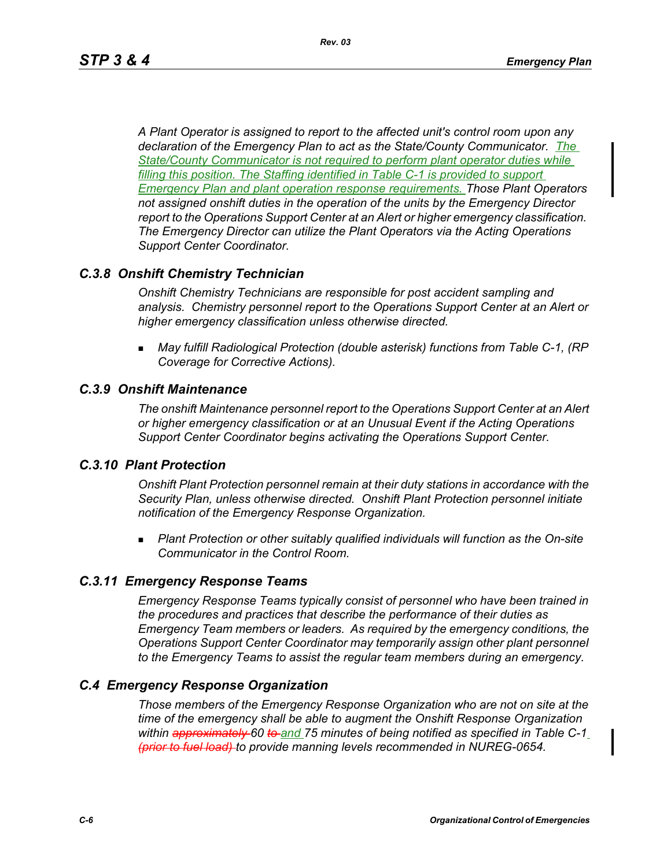*A Plant Operator is assigned to report to the affected unit's control room upon any declaration of the Emergency Plan to act as the State/County Communicator. The State/County Communicator is not required to perform plant operator duties while filling this position. The Staffing identified in Table C-1 is provided to support Emergency Plan and plant operation response requirements. Those Plant Operators not assigned onshift duties in the operation of the units by the Emergency Director report to the Operations Support Center at an Alert or higher emergency classification. The Emergency Director can utilize the Plant Operators via the Acting Operations Support Center Coordinator.* 

# *C.3.8 Onshift Chemistry Technician*

*Onshift Chemistry Technicians are responsible for post accident sampling and analysis. Chemistry personnel report to the Operations Support Center at an Alert or higher emergency classification unless otherwise directed.*

 *May fulfill Radiological Protection (double asterisk) functions from Table C-1, (RP Coverage for Corrective Actions).*

# *C.3.9 Onshift Maintenance*

*The onshift Maintenance personnel report to the Operations Support Center at an Alert or higher emergency classification or at an Unusual Event if the Acting Operations Support Center Coordinator begins activating the Operations Support Center.*

# *C.3.10 Plant Protection*

*Onshift Plant Protection personnel remain at their duty stations in accordance with the Security Plan, unless otherwise directed. Onshift Plant Protection personnel initiate notification of the Emergency Response Organization.*

 *Plant Protection or other suitably qualified individuals will function as the On-site Communicator in the Control Room.*

# *C.3.11 Emergency Response Teams*

*Emergency Response Teams typically consist of personnel who have been trained in the procedures and practices that describe the performance of their duties as Emergency Team members or leaders. As required by the emergency conditions, the Operations Support Center Coordinator may temporarily assign other plant personnel to the Emergency Teams to assist the regular team members during an emergency.*

# *C.4 Emergency Response Organization*

*Those members of the Emergency Response Organization who are not on site at the time of the emergency shall be able to augment the Onshift Response Organization within approximately 60 to and 75 minutes of being notified as specified in Table C-1 (prior to fuel load) to provide manning levels recommended in NUREG-0654.*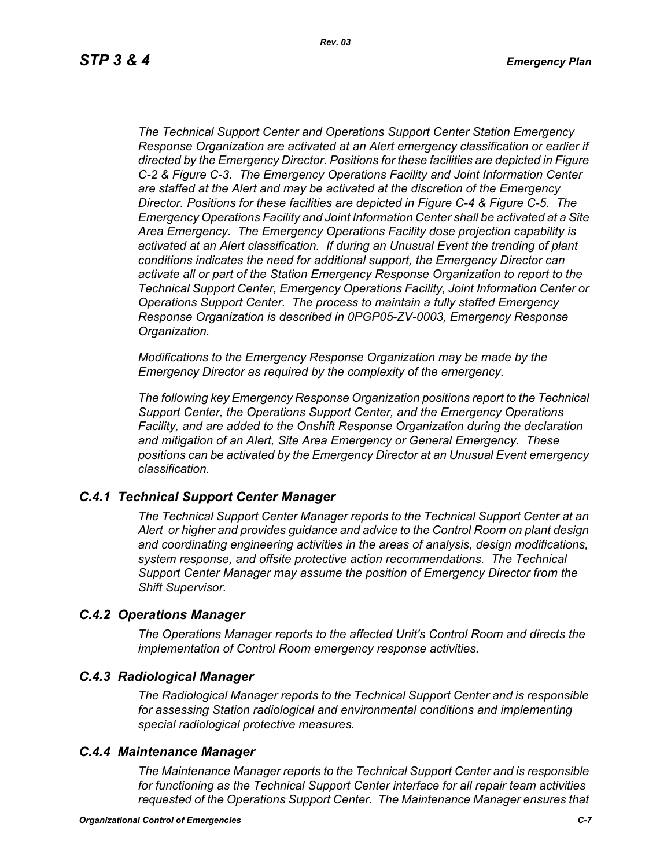*The Technical Support Center and Operations Support Center Station Emergency Response Organization are activated at an Alert emergency classification or earlier if directed by the Emergency Director. Positions for these facilities are depicted in Figure C-2 & Figure C-3. The Emergency Operations Facility and Joint Information Center are staffed at the Alert and may be activated at the discretion of the Emergency Director. Positions for these facilities are depicted in Figure C-4 & Figure C-5. The Emergency Operations Facility and Joint Information Center shall be activated at a Site Area Emergency. The Emergency Operations Facility dose projection capability is activated at an Alert classification. If during an Unusual Event the trending of plant conditions indicates the need for additional support, the Emergency Director can activate all or part of the Station Emergency Response Organization to report to the Technical Support Center, Emergency Operations Facility, Joint Information Center or Operations Support Center. The process to maintain a fully staffed Emergency Response Organization is described in 0PGP05-ZV-0003, Emergency Response Organization.*

*Modifications to the Emergency Response Organization may be made by the Emergency Director as required by the complexity of the emergency.*

*The following key Emergency Response Organization positions report to the Technical Support Center, the Operations Support Center, and the Emergency Operations Facility, and are added to the Onshift Response Organization during the declaration and mitigation of an Alert, Site Area Emergency or General Emergency. These positions can be activated by the Emergency Director at an Unusual Event emergency classification.*

#### *C.4.1 Technical Support Center Manager*

*The Technical Support Center Manager reports to the Technical Support Center at an Alert or higher and provides guidance and advice to the Control Room on plant design and coordinating engineering activities in the areas of analysis, design modifications, system response, and offsite protective action recommendations. The Technical Support Center Manager may assume the position of Emergency Director from the Shift Supervisor.*

#### *C.4.2 Operations Manager*

*The Operations Manager reports to the affected Unit's Control Room and directs the implementation of Control Room emergency response activities.*

#### *C.4.3 Radiological Manager*

*The Radiological Manager reports to the Technical Support Center and is responsible for assessing Station radiological and environmental conditions and implementing special radiological protective measures.*

#### *C.4.4 Maintenance Manager*

*The Maintenance Manager reports to the Technical Support Center and is responsible for functioning as the Technical Support Center interface for all repair team activities requested of the Operations Support Center. The Maintenance Manager ensures that*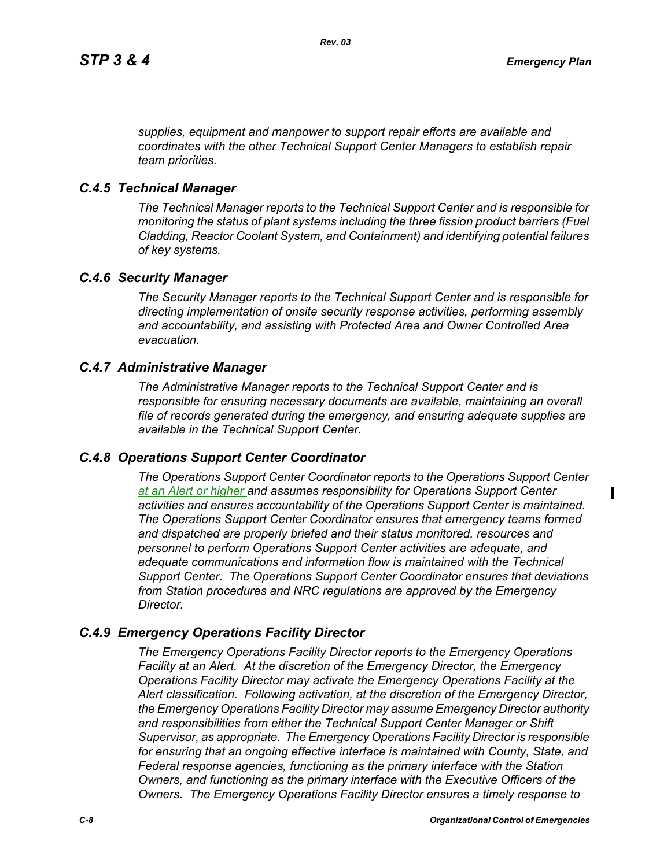*supplies, equipment and manpower to support repair efforts are available and coordinates with the other Technical Support Center Managers to establish repair team priorities.* 

#### *C.4.5 Technical Manager*

*The Technical Manager reports to the Technical Support Center and is responsible for monitoring the status of plant systems including the three fission product barriers (Fuel Cladding, Reactor Coolant System, and Containment) and identifying potential failures of key systems.* 

#### *C.4.6 Security Manager*

*The Security Manager reports to the Technical Support Center and is responsible for directing implementation of onsite security response activities, performing assembly and accountability, and assisting with Protected Area and Owner Controlled Area evacuation.* 

#### *C.4.7 Administrative Manager*

*The Administrative Manager reports to the Technical Support Center and is responsible for ensuring necessary documents are available, maintaining an overall file of records generated during the emergency, and ensuring adequate supplies are available in the Technical Support Center.* 

#### *C.4.8 Operations Support Center Coordinator*

*The Operations Support Center Coordinator reports to the Operations Support Center at an Alert or higher and assumes responsibility for Operations Support Center activities and ensures accountability of the Operations Support Center is maintained. The Operations Support Center Coordinator ensures that emergency teams formed and dispatched are properly briefed and their status monitored, resources and personnel to perform Operations Support Center activities are adequate, and adequate communications and information flow is maintained with the Technical Support Center. The Operations Support Center Coordinator ensures that deviations from Station procedures and NRC regulations are approved by the Emergency Director.* 

#### *C.4.9 Emergency Operations Facility Director*

*The Emergency Operations Facility Director reports to the Emergency Operations Facility at an Alert. At the discretion of the Emergency Director, the Emergency Operations Facility Director may activate the Emergency Operations Facility at the Alert classification. Following activation, at the discretion of the Emergency Director, the Emergency Operations Facility Director may assume Emergency Director authority and responsibilities from either the Technical Support Center Manager or Shift Supervisor, as appropriate. The Emergency Operations Facility Director is responsible*  for ensuring that an ongoing effective interface is maintained with County, State, and *Federal response agencies, functioning as the primary interface with the Station Owners, and functioning as the primary interface with the Executive Officers of the Owners. The Emergency Operations Facility Director ensures a timely response to*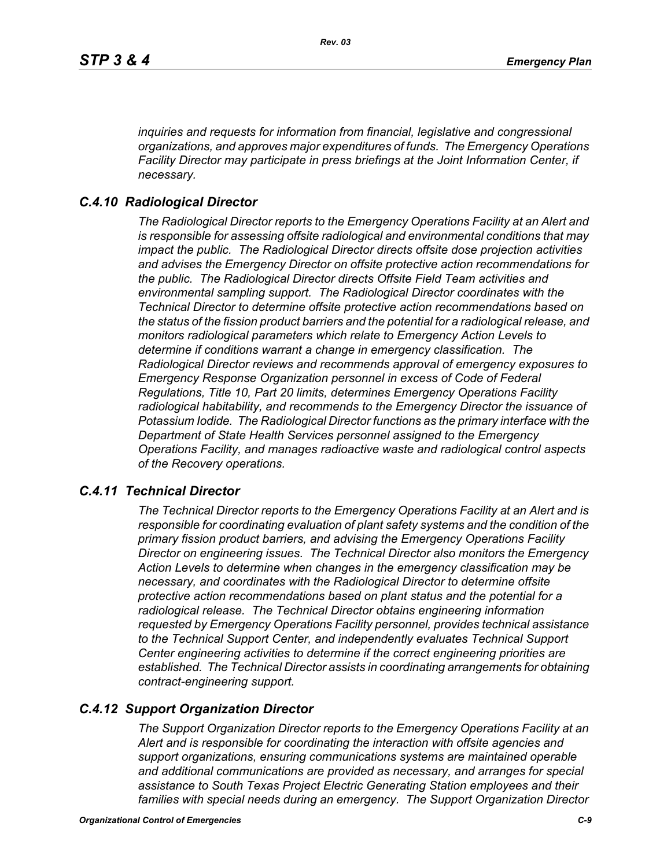*inquiries and requests for information from financial, legislative and congressional organizations, and approves major expenditures of funds. The Emergency Operations Facility Director may participate in press briefings at the Joint Information Center, if necessary.* 

#### *C.4.10 Radiological Director*

*The Radiological Director reports to the Emergency Operations Facility at an Alert and is responsible for assessing offsite radiological and environmental conditions that may impact the public. The Radiological Director directs offsite dose projection activities and advises the Emergency Director on offsite protective action recommendations for the public. The Radiological Director directs Offsite Field Team activities and environmental sampling support. The Radiological Director coordinates with the Technical Director to determine offsite protective action recommendations based on the status of the fission product barriers and the potential for a radiological release, and monitors radiological parameters which relate to Emergency Action Levels to determine if conditions warrant a change in emergency classification. The Radiological Director reviews and recommends approval of emergency exposures to Emergency Response Organization personnel in excess of Code of Federal Regulations, Title 10, Part 20 limits, determines Emergency Operations Facility radiological habitability, and recommends to the Emergency Director the issuance of Potassium Iodide. The Radiological Director functions as the primary interface with the Department of State Health Services personnel assigned to the Emergency Operations Facility, and manages radioactive waste and radiological control aspects of the Recovery operations.* 

#### *C.4.11 Technical Director*

*The Technical Director reports to the Emergency Operations Facility at an Alert and is responsible for coordinating evaluation of plant safety systems and the condition of the primary fission product barriers, and advising the Emergency Operations Facility Director on engineering issues. The Technical Director also monitors the Emergency Action Levels to determine when changes in the emergency classification may be necessary, and coordinates with the Radiological Director to determine offsite protective action recommendations based on plant status and the potential for a radiological release. The Technical Director obtains engineering information requested by Emergency Operations Facility personnel, provides technical assistance to the Technical Support Center, and independently evaluates Technical Support Center engineering activities to determine if the correct engineering priorities are established. The Technical Director assists in coordinating arrangements for obtaining contract-engineering support.* 

#### *C.4.12 Support Organization Director*

*The Support Organization Director reports to the Emergency Operations Facility at an Alert and is responsible for coordinating the interaction with offsite agencies and support organizations, ensuring communications systems are maintained operable and additional communications are provided as necessary, and arranges for special assistance to South Texas Project Electric Generating Station employees and their families with special needs during an emergency. The Support Organization Director*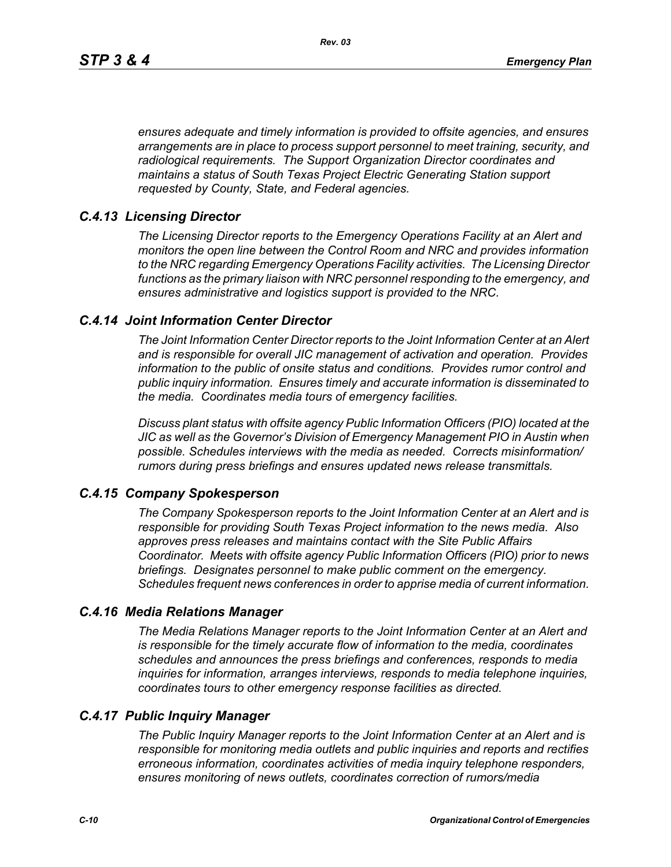*ensures adequate and timely information is provided to offsite agencies, and ensures arrangements are in place to process support personnel to meet training, security, and radiological requirements. The Support Organization Director coordinates and maintains a status of South Texas Project Electric Generating Station support requested by County, State, and Federal agencies.*

## *C.4.13 Licensing Director*

*The Licensing Director reports to the Emergency Operations Facility at an Alert and monitors the open line between the Control Room and NRC and provides information to the NRC regarding Emergency Operations Facility activities. The Licensing Director functions as the primary liaison with NRC personnel responding to the emergency, and ensures administrative and logistics support is provided to the NRC.*

## *C.4.14 Joint Information Center Director*

*The Joint Information Center Director reports to the Joint Information Center at an Alert and is responsible for overall JIC management of activation and operation. Provides information to the public of onsite status and conditions. Provides rumor control and public inquiry information. Ensures timely and accurate information is disseminated to the media. Coordinates media tours of emergency facilities.* 

*Discuss plant status with offsite agency Public Information Officers (PIO) located at the JIC as well as the Governor's Division of Emergency Management PIO in Austin when possible. Schedules interviews with the media as needed. Corrects misinformation/ rumors during press briefings and ensures updated news release transmittals.*

#### *C.4.15 Company Spokesperson*

*The Company Spokesperson reports to the Joint Information Center at an Alert and is responsible for providing South Texas Project information to the news media. Also approves press releases and maintains contact with the Site Public Affairs Coordinator. Meets with offsite agency Public Information Officers (PIO) prior to news briefings. Designates personnel to make public comment on the emergency. Schedules frequent news conferences in order to apprise media of current information.* 

#### *C.4.16 Media Relations Manager*

*The Media Relations Manager reports to the Joint Information Center at an Alert and is responsible for the timely accurate flow of information to the media, coordinates schedules and announces the press briefings and conferences, responds to media inquiries for information, arranges interviews, responds to media telephone inquiries, coordinates tours to other emergency response facilities as directed.*

#### *C.4.17 Public Inquiry Manager*

*The Public Inquiry Manager reports to the Joint Information Center at an Alert and is responsible for monitoring media outlets and public inquiries and reports and rectifies erroneous information, coordinates activities of media inquiry telephone responders, ensures monitoring of news outlets, coordinates correction of rumors/media*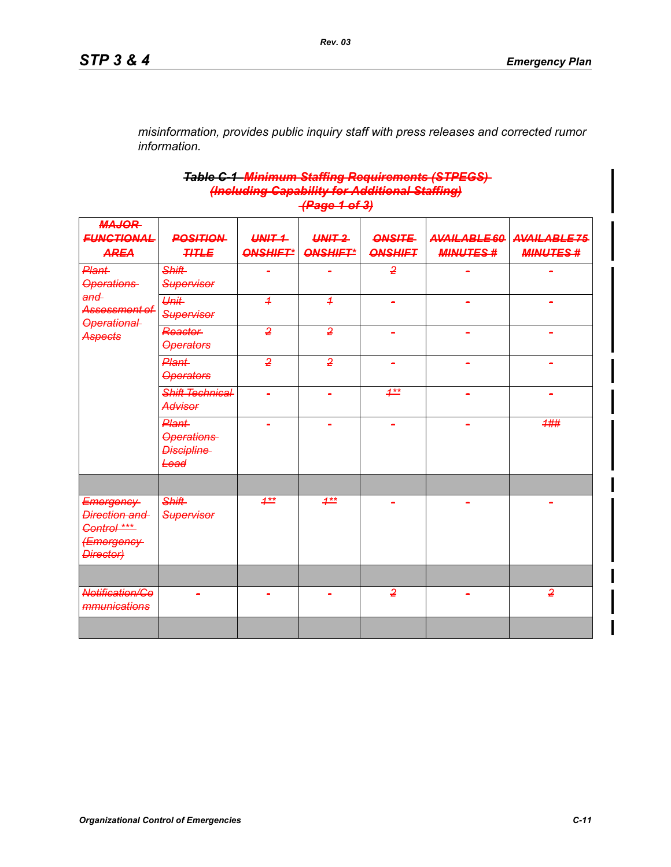*misinformation, provides public inquiry staff with press releases and corrected rumor information.*

#### *Table C-1 Minimum Staffing Requirements (STPEGS) (Including Capability for Additional Staffing) (Page 1 of 3)*

| <b>MAJOR</b><br><b>FUNCTIONAL</b>                                     | <b>POSITION</b>                                         | UNIT 1          | $UNIT-2$        | <b>ONSITE</b>  | AVAILABLE 60    | AVAILABLE75     |
|-----------------------------------------------------------------------|---------------------------------------------------------|-----------------|-----------------|----------------|-----------------|-----------------|
| <b>AREA</b>                                                           | <b>TITLE</b>                                            | <b>ONSHIFT*</b> | <b>ONSHIFT*</b> | <b>ONSHIFT</b> | <b>MINUTES#</b> | <b>MINUTES#</b> |
| Plant<br><b>Operations</b>                                            | <b>Shift</b><br><b>Supervisor</b>                       |                 |                 | $\overline{2}$ |                 |                 |
| and<br>Assessment of<br>Operational                                   | Unit<br><b>Supervisor</b>                               | $\overline{1}$  | $\overline{1}$  |                |                 |                 |
| Aspects                                                               | <b>Reactor</b><br><b>Operators</b>                      | $\overline{2}$  | $\overline{2}$  | ÷              |                 |                 |
|                                                                       | Plant<br><b>Operators</b>                               | $\overline{2}$  | $\overline{2}$  |                |                 |                 |
|                                                                       | <b>Shift Technical</b><br><b>Advisor</b>                |                 |                 | $1***$         |                 |                 |
|                                                                       | Plant<br><b>Operations</b><br><b>Discipline</b><br>Lead | $\equiv$        |                 | ÷,             | $\equiv$        | 1##             |
|                                                                       |                                                         |                 |                 |                |                 |                 |
| Emergency<br>Direction and<br>Control ***<br>(Emergency-<br>Director) | <b>Shift</b><br><b>Supervisor</b>                       | $1***$          | $1***$          |                |                 |                 |
|                                                                       |                                                         |                 |                 |                |                 |                 |
| <b>Notification/Co</b><br>mmunications                                |                                                         |                 |                 | $\overline{2}$ |                 | $\overline{2}$  |
|                                                                       |                                                         |                 |                 |                |                 |                 |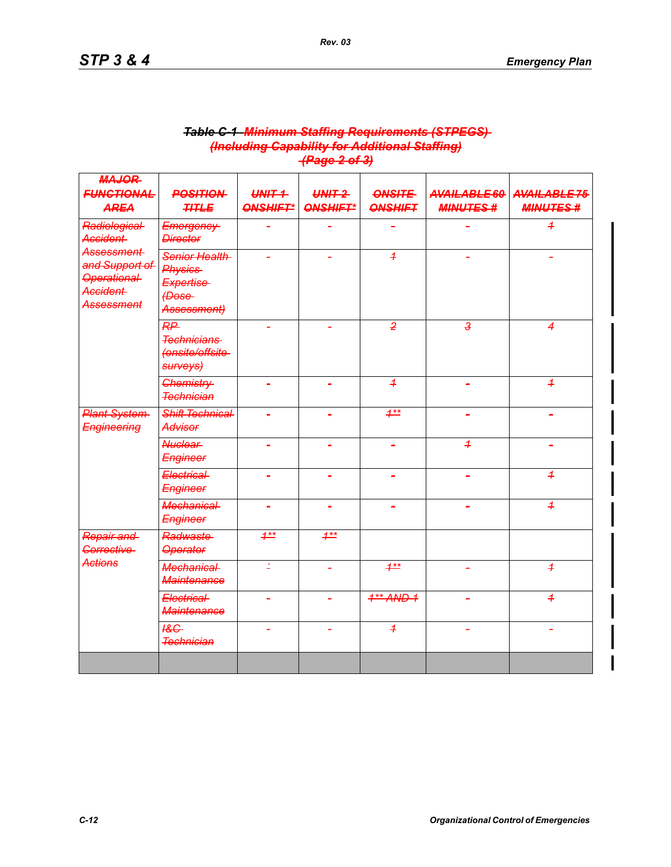|                                                                                                                                       |                                                                       |                            | u ugu 4 vi v <i>j</i>       |                                 |                                 |                                 |
|---------------------------------------------------------------------------------------------------------------------------------------|-----------------------------------------------------------------------|----------------------------|-----------------------------|---------------------------------|---------------------------------|---------------------------------|
| <b>MAJOR</b><br><b>FUNCTIONAL</b><br><b>AREA</b>                                                                                      | <b>POSITION</b><br><b>TITLE</b>                                       | $WHT +$<br><b>ONSHIFT*</b> | $UNIT-2$<br><b>ONSHIFT*</b> | <b>ONSITE</b><br><b>ONSHIFT</b> | AVAILABLE 60<br><b>MINUTES#</b> | AVAILABLE75<br><b>MINUTES #</b> |
| Radiological-<br><b>Accident</b><br><b>Assessment</b><br>and Support of<br><b>Operational</b><br><b>Accident</b><br><b>Assessment</b> | Emergency<br><b>Director</b>                                          |                            |                             |                                 |                                 | $\overline{1}$                  |
|                                                                                                                                       | Senior Health<br><b>Physics</b><br>Expertise<br>(Dose-<br>Assessment) |                            |                             | $\overline{4}$                  |                                 |                                 |
|                                                                                                                                       | RP<br><b>Technicians</b><br>(onsite/offsite-<br>surveys)              |                            |                             | $\overline{2}$                  | ه                               | 4                               |
|                                                                                                                                       | <b>Chemistry</b><br><b>Technician</b>                                 | $\blacksquare$             | $\blacksquare$              | $\overline{1}$                  | $\overline{a}$                  | $\overline{1}$                  |
| <b>Plant System</b><br><b>Engineering</b>                                                                                             | <b>Shift Technical</b><br><b>Advisor</b>                              |                            |                             | $4**$                           |                                 |                                 |
|                                                                                                                                       | <b>Nuclear</b><br>Engineer                                            | ä,                         | ÷,                          |                                 | $\overline{1}$                  |                                 |
|                                                                                                                                       | Electrical-<br>Engineer                                               |                            |                             |                                 |                                 | $\overline{1}$                  |
|                                                                                                                                       | <b>Mechanical</b><br>Engineer                                         | $\blacksquare$             | $\blacksquare$              | ÷                               |                                 | $\overline{1}$                  |
| Repair and<br>Corrective                                                                                                              | Radwaste<br><b>Operator</b>                                           | $1^{**}$                   | $1^{**}$                    |                                 |                                 |                                 |
| <b>Actions</b>                                                                                                                        | <b>Mechanical</b><br><b>Maintenance</b>                               | Δ                          |                             | $4**$                           |                                 | $\overline{1}$                  |
|                                                                                                                                       | Electrical-<br><b>Maintenance</b>                                     |                            |                             | $4**$ AND 1                     |                                 | $\overline{1}$                  |
|                                                                                                                                       | $\underline{AC}$<br><b>Technician</b>                                 |                            |                             | $\overline{1}$                  |                                 |                                 |
|                                                                                                                                       |                                                                       |                            |                             |                                 |                                 |                                 |

#### *Table C-1 Minimum Staffing Requirements (STPEGS) (Including Capability for Additional Staffing) (Page 2 of 3)*

*Rev. 03*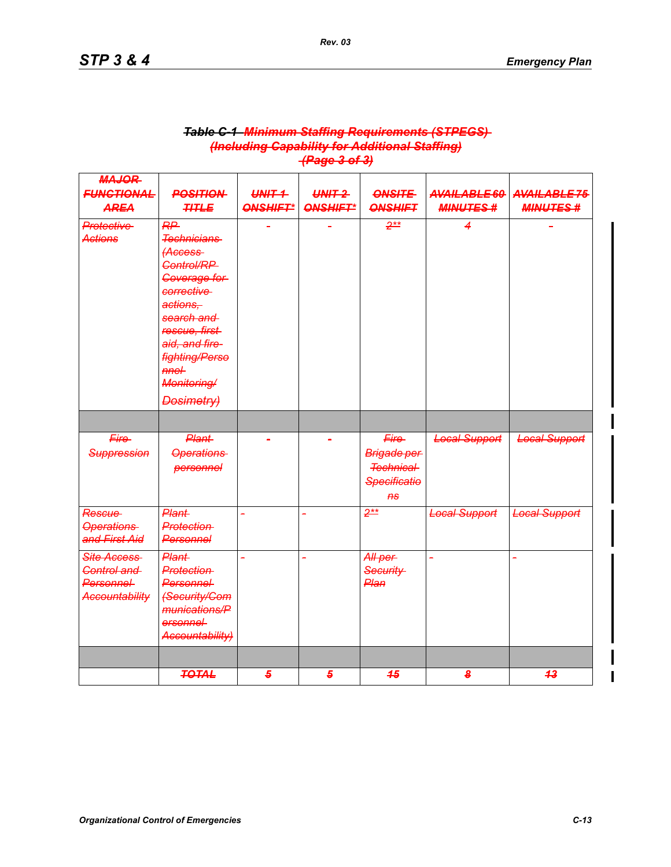| <b>MAJOR</b>                                                      |                                                                                                                                                                                                                             |                                   |                             |                                                                                   |                                  |                                |
|-------------------------------------------------------------------|-----------------------------------------------------------------------------------------------------------------------------------------------------------------------------------------------------------------------------|-----------------------------------|-----------------------------|-----------------------------------------------------------------------------------|----------------------------------|--------------------------------|
| <b>FUNCTIONAL</b><br><b>AREA</b>                                  | <b>POSITION</b><br><b>TITLE</b>                                                                                                                                                                                             | $U\setminus V$<br><b>ONSHIFT*</b> | $UNIT-2$<br><b>ONSHIFT*</b> | <b>ONSITE</b><br><b>ONSHIFT</b>                                                   | AVAILABLE 60<br><b>MINUTES #</b> | AVAILABLE75<br><b>MINUTES#</b> |
| <b>Protective</b><br><b>Actions</b>                               | RP<br><b>Technicians</b><br><b>Access</b><br>Control/RP<br>Coverage for<br>corrective<br>actions.<br>search and<br>rescue, first<br>aid, and fire-<br><b>fighting/Perso</b><br>$m$ e $+$<br>Monitoring/<br><b>Dosimetry</b> |                                   |                             | $2**$                                                                             | 4                                |                                |
|                                                                   |                                                                                                                                                                                                                             |                                   |                             |                                                                                   |                                  |                                |
| Fire-<br><b>Suppression</b>                                       | <b>Plant</b><br><b>Operations</b><br>personnel                                                                                                                                                                              |                                   |                             | Fire-<br>Brigade per<br><b>Technical</b><br><b>Specificatio</b><br>A <sub>S</sub> | <b>Local Support</b>             | <b>Local Support</b>           |
| <b>Rescue</b><br><b>Operations</b><br>and First Aid               | <b>Plant</b><br><b>Protection</b><br>Personnel                                                                                                                                                                              | L,                                | L.                          | $2**$                                                                             | <b>Local Support</b>             | <b>Local Support</b>           |
| Site Access<br>Control and<br>Personnel-<br><b>Accountability</b> | <b>Plant</b><br><b>Protection</b><br><b>Personnel</b><br><b>(Security/Com</b><br>munications/P<br>ersonnel-<br>Accountability)                                                                                              | L                                 |                             | All per<br>Security-<br>Plan                                                      |                                  |                                |
|                                                                   | <b>TOTAL</b>                                                                                                                                                                                                                | 5                                 | 5                           | 45                                                                                | 8                                | 4 <sup>3</sup>                 |

#### *Table C-1 Minimum Staffing Requirements (STPEGS) (Including Capability for Additional Staffing) (Page 3 of 3)*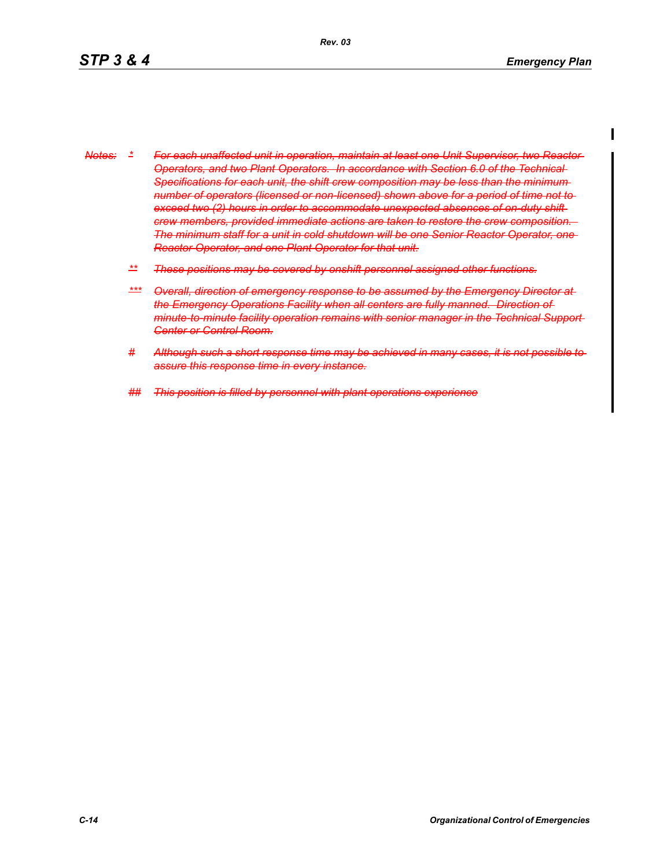- *Notes: \* For each unaffected unit in operation, maintain at least one Unit Supervisor, two Reactor Operators, and two Plant Operators. In accordance with Section 6.0 of the Technical Specifications for each unit, the shift crew composition may be less than the minimum number of operators (licensed or non-licensed) shown above for a period of time not to exceed two (2) hours in order to accommodate unexpected absences of on-duty shift crew members, provided immediate actions are taken to restore the crew composition. The minimum staff for a unit in cold shutdown will be one Senior Reactor Operator, one Reactor Operator, and one Plant Operator for that unit.*
	- *\*\* These positions may be covered by onshift personnel assigned other functions.*
	- *\*\*\* Overall, direction of emergency response to be assumed by the Emergency Director at the Emergency Operations Facility when all centers are fully manned. Direction of minute-to-minute facility operation remains with senior manager in the Technical Support Center or Control Room.*
	- *# Although such a short response time may be achieved in many cases, it is not possible to assure this response time in every instance.*
	- *## This position is filled by personnel with plant operations experience*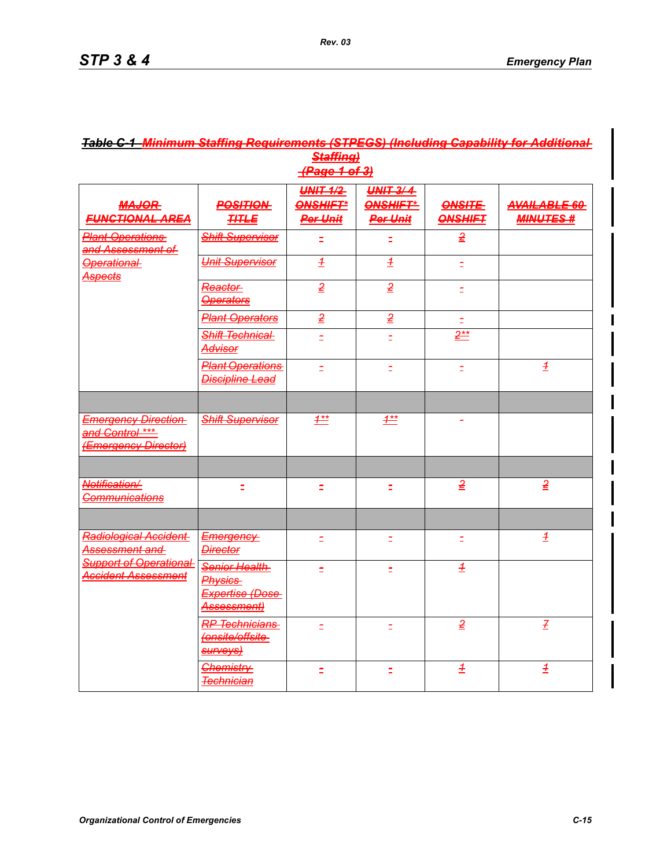| <b>Staffing)</b><br>HPage 1 of 3)                                     |                                                                          |                                                       |                                                |                                 |                                         |  |  |  |
|-----------------------------------------------------------------------|--------------------------------------------------------------------------|-------------------------------------------------------|------------------------------------------------|---------------------------------|-----------------------------------------|--|--|--|
| <b>MAJOR</b><br><b>FUNCTIONAL AREA</b>                                | <b>POSITION</b><br><b>TITLE</b>                                          | <b>UNIT 1/2</b><br><b>ONSHIFT*</b><br><b>Per Unit</b> | <b>UNIT 3/4</b><br>ONSHIFT*<br><b>Per Unit</b> | <b>ONSITE</b><br><b>ONSHIFT</b> | <b>AVAILABLE 60</b><br><b>MINUTES #</b> |  |  |  |
| <b>Plant Operations</b><br>and Assessment of                          | <b>Shift Supervisor</b>                                                  |                                                       |                                                | $\overline{2}$                  |                                         |  |  |  |
| <b>Operational</b><br><del>Aspects</del>                              | <b>Unit Supervisor</b>                                                   | $\overline{\mathcal{L}}$                              | $\overline{1}$                                 | Ξ                               |                                         |  |  |  |
|                                                                       | Reactor<br><b>Operators</b>                                              | $\overline{2}$                                        | $\overline{2}$                                 |                                 |                                         |  |  |  |
|                                                                       | <b>Plant Operators</b>                                                   | $\overline{2}$                                        | $\overline{2}$                                 |                                 |                                         |  |  |  |
|                                                                       | Shift Technical<br>Advisor                                               | ۰                                                     | È.                                             | $2**$                           |                                         |  |  |  |
|                                                                       | <b>Plant Operations</b><br><b>Discipline Lead</b>                        | Ξ                                                     | È.                                             | È.                              | $\pm$                                   |  |  |  |
|                                                                       |                                                                          |                                                       |                                                |                                 |                                         |  |  |  |
| <b>Emergency Direction</b><br>and Control ***<br>(Emergency Director) | <b>Shift Supervisor</b>                                                  | $4**$                                                 | $1^{**}$                                       |                                 |                                         |  |  |  |
|                                                                       |                                                                          |                                                       |                                                |                                 |                                         |  |  |  |
| Notification/<br><b>Communications</b>                                | È.                                                                       | É                                                     | $\equiv$                                       | $\overline{2}$                  | $\overline{2}$                          |  |  |  |
|                                                                       |                                                                          |                                                       |                                                |                                 |                                         |  |  |  |
| Radiological Accident<br>Assessment and                               | <b>Emergency</b><br><b>Director</b>                                      | È.                                                    | $\equiv$                                       | $\Xi$                           | $\overline{\pm}$                        |  |  |  |
| <b>Support of Operational</b><br>Accident Assessment                  | Senior Health<br><b>Physics</b><br><b>Expertise (Dose</b><br>Assessment) | Ë                                                     | Ξ                                              | $\overline{1}$                  |                                         |  |  |  |
|                                                                       | <b>RP Technicians</b><br>(onsite/offsite-<br><b>SUrveys)</b>             | ۰                                                     | ÷                                              | $\overline{2}$                  | $\overline{f}$                          |  |  |  |
|                                                                       | <b>Chemistry</b><br><b>Technician</b>                                    | É                                                     |                                                | $\pm$                           | $\pm$                                   |  |  |  |

# *Table C-1 Minimum Staffing Requirements (STPEGS) (Including Capability for Additional*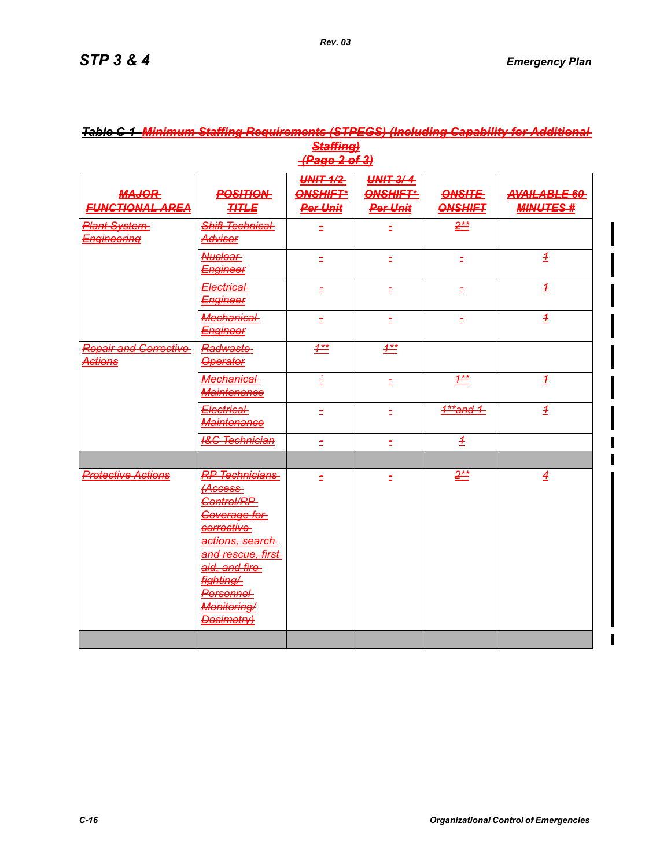| <b>MAJOR</b><br><b>FUNCTIONAL AREA</b>         | <b>POSITION</b><br><b>THTLE</b>                                                                                                                                                            | <b>UNIT 1/2</b><br><b>ONSHIFT</b><br><b>Per Unit</b> | <b>UNIT 3/4</b><br><b>ONSHIFT*</b><br><b>Per Unit</b> | <b>ONSITE</b><br><b>ONSHIFT</b> | AVAILABLE 60<br><b>MINUTES#</b> |
|------------------------------------------------|--------------------------------------------------------------------------------------------------------------------------------------------------------------------------------------------|------------------------------------------------------|-------------------------------------------------------|---------------------------------|---------------------------------|
| <b>Plant System</b><br><b>Engineering</b>      | Shift Technical<br><del>Advisor</del>                                                                                                                                                      |                                                      |                                                       | $2^{**}$                        |                                 |
|                                                | Nuclear<br><b>Engineer</b>                                                                                                                                                                 | È,                                                   | È,                                                    | È,                              | $\pm$                           |
|                                                | Electrical-<br><u>Engineer</u>                                                                                                                                                             | Ξ                                                    | Ξ                                                     | È.                              | $\overline{\pm}$                |
|                                                | Mechanical-<br><b>Engineer</b>                                                                                                                                                             | Ξ                                                    | Ē,                                                    | Ξ                               | $\overline{\pm}$                |
| <b>Repair and Corrective</b><br><u>Actions</u> | Radwaste<br><b>Operator</b>                                                                                                                                                                | $1^{**}$                                             | $1^{**}$                                              |                                 |                                 |
|                                                | Mechanical<br>Maintenance                                                                                                                                                                  | È                                                    | Ξ                                                     | $\frac{4**}{4}$                 | $\overline{\pm}$                |
|                                                | Electrical-<br><b>Maintenance</b>                                                                                                                                                          | Ξ                                                    | É                                                     | $4**$ and 1                     | $\overline{1}$                  |
|                                                | <b>I&amp;C Technician</b>                                                                                                                                                                  | Ξ                                                    | Ξ                                                     | $\pm$                           |                                 |
| <b>Protective Actions</b>                      | <b>RP Technicians</b><br>Control/RP<br><b>Coverage for</b><br>corrective<br>actions, search<br>and rescue, first-<br>aid, and fire-<br>fighting/<br>Personnel<br>Monitoring/<br>Dosimetry) |                                                      |                                                       | $2^{**}$                        | $\overline{4}$                  |
|                                                |                                                                                                                                                                                            |                                                      |                                                       |                                 |                                 |

# *Table C-1 Minimum Staffing Requirements (STPEGS) (Including Capability for Additional Staffing)*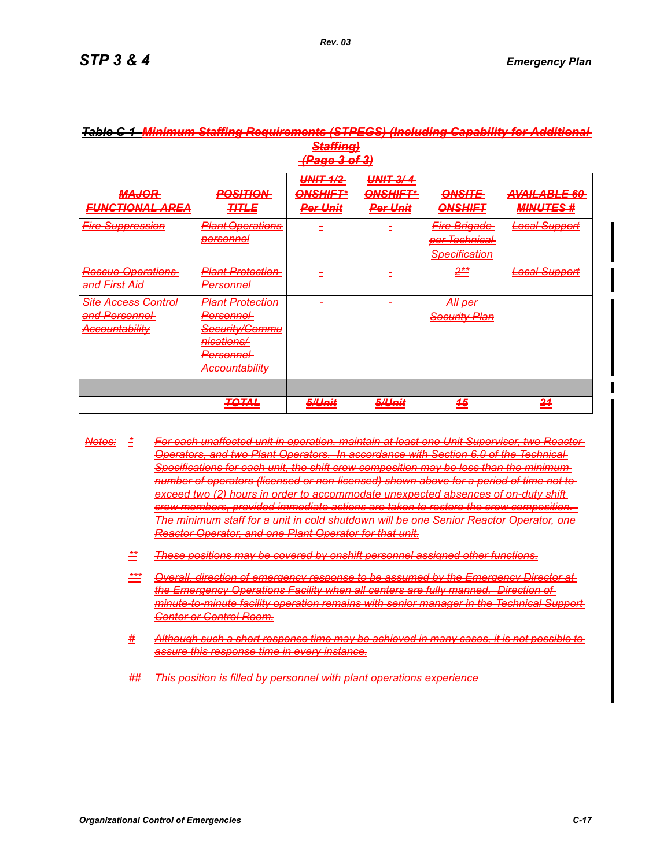| (Dana 2 af 2)<br>11 886 V V V                                                                                 |                                                                                                                                                                                                                                                                       |                                                                                                     |                                                                                                                  |                                                                                               |                                                                            |  |  |  |
|---------------------------------------------------------------------------------------------------------------|-----------------------------------------------------------------------------------------------------------------------------------------------------------------------------------------------------------------------------------------------------------------------|-----------------------------------------------------------------------------------------------------|------------------------------------------------------------------------------------------------------------------|-----------------------------------------------------------------------------------------------|----------------------------------------------------------------------------|--|--|--|
| MA IOB<br>ШАССИТ<br>EHNCTIONAL ADEA<br>-unununut rinch                                                        | <b>DOCITION</b><br><u>гоонголт</u><br>TITI E<br><del>,,,,,,,</del>                                                                                                                                                                                                    | IINIT 4/2<br><del>uwa we</del><br>$\bigcap$<br><b>MARTINE E</b><br>Dor I Init<br><del>rer omi</del> | IINIT 2/A<br><del>, 11111</del><br><b>OMCLIET*</b><br><u> 2002/01/07 12:</u><br>Dor I Init<br><del>rer omt</del> | $\bigcap$<br>$rac{1}{2}$<br><b>ONSUIET</b><br><del>onomm-</del> r                             | AYAII ADIE<br>AVAILTAL JA VV<br><i>MINIITES #</i><br><del>mmvo 120 m</del> |  |  |  |
| Fire Sunnreccion<br><del>riid ouppression</del>                                                               | <b>D</b> lant Onarations<br><del>r iam opcialions</del><br>narconnal<br><del>voi sumoi</del>                                                                                                                                                                          |                                                                                                     |                                                                                                                  | Eiro Prinodo<br><del>r ile bilgauc-</del><br><del>per Technical</del><br><b>Specification</b> | Local Runnort<br><del>Lutai Suppon</del>                                   |  |  |  |
| <b>Rescue Operations</b><br><del>and First Aid</del>                                                          | <del>Plant Protection-</del><br>Darconnal<br><del>r croomrci</del>                                                                                                                                                                                                    |                                                                                                     |                                                                                                                  | $2**$                                                                                         | <b>Local Support</b>                                                       |  |  |  |
| <del>Site Access Control</del> -<br><del>and Personnel</del> -<br>Accountability<br><del>Accountability</del> | Diant Drotaction<br><del>riam rivicciiom</del><br>Personnel<br><del>r crsomner</del><br>Security/Commu<br><del>occumty/Commid</del><br>nicatione/<br><del>ilitativnər</del><br>Darconnol<br><del>rci suimar</del><br><i>Accountability</i><br><del>Accountaimty</del> |                                                                                                     |                                                                                                                  | <i>All nar</i><br><del>nii por</del><br><del>Security Plan</del>                              |                                                                            |  |  |  |
|                                                                                                               |                                                                                                                                                                                                                                                                       |                                                                                                     |                                                                                                                  |                                                                                               |                                                                            |  |  |  |
|                                                                                                               | <b>TOTAL</b><br>7. SERE                                                                                                                                                                                                                                               | 5/I Init<br><u>eremin</u>                                                                           | <b>E</b> ll Init<br>$\sigma$ on $\sigma$                                                                         | 45                                                                                            | 24                                                                         |  |  |  |

# *Table C-1 Minimum Staffing Requirements (STPEGS) (Including Capability for Additional Staffing)*

- *Notes: \* For each unaffected unit in operation, maintain at least one Unit Supervisor, two Reactor Operators, and two Plant Operators. In accordance with Section 6.0 of the Technical Specifications for each unit, the shift crew composition may be less than the minimum number of operators (licensed or non-licensed) shown above for a period of time not to exceed two (2) hours in order to accommodate unexpected absences of on-duty shift crew members, provided immediate actions are taken to restore the crew composition. The minimum staff for a unit in cold shutdown will be one Senior Reactor Operator, one Reactor Operator, and one Plant Operator for that unit.*
	- *\*\* These positions may be covered by onshift personnel assigned other functions.*
	- *\*\*\* Overall, direction of emergency response to be assumed by the Emergency Director at the Emergency Operations Facility when all centers are fully manned. Direction of minute-to-minute facility operation remains with senior manager in the Technical Support Center or Control Room.*
	- *# Although such a short response time may be achieved in many cases, it is not possible to assure this response time in every instance.*
	- *## This position is filled by personnel with plant operations experience*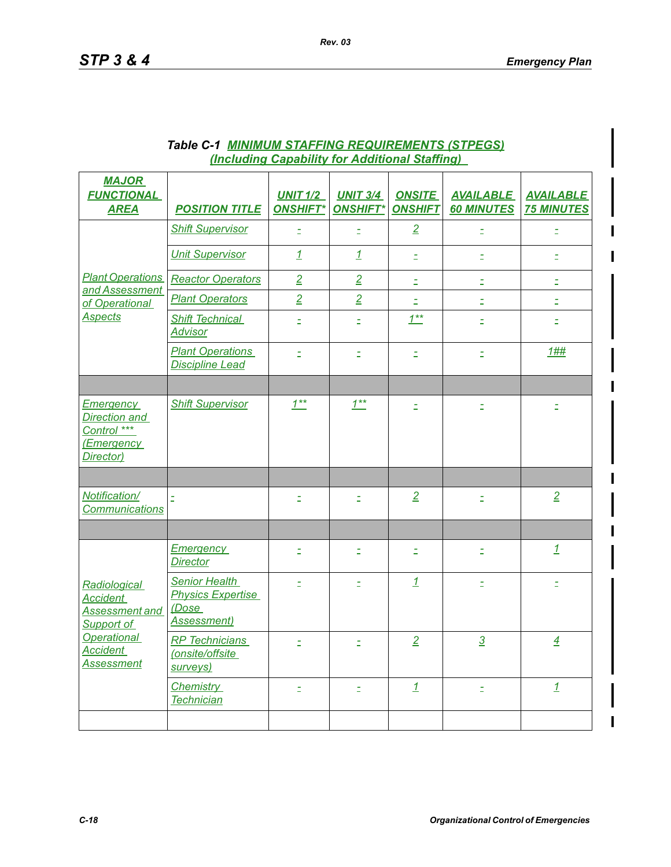| <b>MAJOR</b><br><b>FUNCTIONAL</b><br><b>AREA</b>                                                                                     | <b>POSITION TITLE</b>                                                            | <b>UNIT 1/2</b><br><b>ONSHIFT*</b> | <b>UNIT 3/4</b><br><b>ONSHIFT*</b> | <b>ONSITE</b><br><b>ONSHIFT</b> | <b>AVAILABLE</b><br><b>60 MINUTES</b> | <b>AVAILABLE</b><br><b>75 MINUTES</b> |
|--------------------------------------------------------------------------------------------------------------------------------------|----------------------------------------------------------------------------------|------------------------------------|------------------------------------|---------------------------------|---------------------------------------|---------------------------------------|
|                                                                                                                                      | <b>Shift Supervisor</b>                                                          | Ξ                                  | $\equiv$                           | $\overline{2}$                  | Ξ                                     | Ξ                                     |
|                                                                                                                                      | <b>Unit Supervisor</b>                                                           | $\mathbf{1}$                       | $\overline{1}$                     | Ξ                               | Ė,                                    | Ξ                                     |
| and Assessment                                                                                                                       | <b>Plant Operations   Reactor Operators</b>                                      | $\overline{2}$                     | $\overline{2}$                     | É,                              | É,                                    | Ξ                                     |
| of Operational                                                                                                                       | <b>Plant Operators</b>                                                           | $\overline{2}$                     | $\overline{2}$                     | È,                              | Ė,                                    | $\Xi$                                 |
| <b>Aspects</b>                                                                                                                       | <b>Shift Technical</b><br><b>Advisor</b>                                         | Ξ                                  | Ξ                                  | $1***$                          | Ê                                     | Ξ                                     |
|                                                                                                                                      | <b>Plant Operations</b><br><b>Discipline Lead</b>                                | $\equiv$                           | È.                                 | Ξ                               | $\equiv$                              | 1##                                   |
|                                                                                                                                      |                                                                                  |                                    |                                    |                                 |                                       |                                       |
| <b>Emergency</b><br>Direction and<br>Control ***<br><b>(Emergency</b><br>Director)                                                   | <b>Shift Supervisor</b>                                                          | $1***$                             | $1^{**}$                           | Ξ                               | Ξ                                     | $\Xi$                                 |
|                                                                                                                                      |                                                                                  |                                    |                                    |                                 |                                       |                                       |
| Notification/<br><b>Communications</b>                                                                                               |                                                                                  | Ξ                                  | Ξ                                  | $\overline{2}$                  | Ξ                                     | $\overline{2}$                        |
|                                                                                                                                      |                                                                                  |                                    |                                    |                                 |                                       |                                       |
|                                                                                                                                      | <b>Emergency</b><br><b>Director</b>                                              | Ξ                                  | Ξ                                  | É,                              | Ξ                                     | $\mathbf{1}$                          |
| Radiological<br><b>Accident</b><br><b>Assessment and</b><br>Support of<br><b>Operational</b><br><b>Accident</b><br><b>Assessment</b> | <b>Senior Health</b><br><b>Physics Expertise</b><br>(Dose<br><b>Assessment</b> ) |                                    | Ξ                                  | $\overline{1}$                  | È.                                    | Ξ                                     |
|                                                                                                                                      | <b>RP</b> Technicians<br>(onsite/offsite<br>surveys)                             | Ξ                                  | È.                                 | $\overline{2}$                  | $\overline{3}$                        | $\overline{4}$                        |
|                                                                                                                                      | Chemistry<br><b>Technician</b>                                                   | È.                                 | Ξ                                  | $\mathbf{1}$                    | Ξ                                     | $\mathbf{1}$                          |
|                                                                                                                                      |                                                                                  |                                    |                                    |                                 |                                       |                                       |

# *Table C-1 MINIMUM STAFFING REQUIREMENTS (STPEGS) (Including Capability for Additional Staffing)*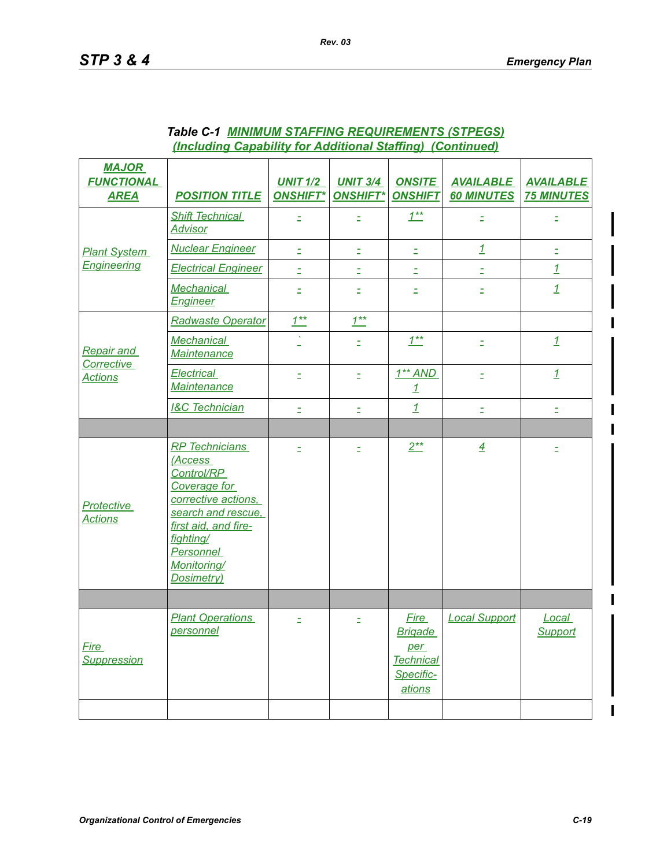| <b>MAJOR</b><br><b>FUNCTIONAL</b><br><b>AREA</b> | <b>POSITION TITLE</b>                                                                                                                                                                             | <b>UNIT 1/2</b><br><b>ONSHIFT*</b> | <b>UNIT 3/4</b><br><b>ONSHIFT*</b> | <b>ONSITE</b><br><b>ONSHIFT</b>                                                 | <b>AVAILABLE</b><br><b>60 MINUTES</b> | <b>AVAILABLE</b><br><b>75 MINUTES</b> |
|--------------------------------------------------|---------------------------------------------------------------------------------------------------------------------------------------------------------------------------------------------------|------------------------------------|------------------------------------|---------------------------------------------------------------------------------|---------------------------------------|---------------------------------------|
|                                                  | <b>Shift Technical</b><br><b>Advisor</b>                                                                                                                                                          |                                    | Ξ                                  | $1^{**}$                                                                        | Ξ                                     | Ξ                                     |
| <b>Plant System</b>                              | <b>Nuclear Engineer</b>                                                                                                                                                                           | $\Xi$                              | $\equiv$                           | $\Xi$                                                                           | $\mathbf{1}$                          | $\Xi$                                 |
| <b>Engineering</b>                               | <b>Electrical Engineer</b>                                                                                                                                                                        | $\equiv$                           | È.                                 | È.                                                                              | È.                                    | $\overline{1}$                        |
|                                                  | Mechanical<br><b>Engineer</b>                                                                                                                                                                     | Ξ                                  | Ξ                                  | Ξ                                                                               | Ξ                                     | $\overline{1}$                        |
|                                                  | <b>Radwaste Operator</b>                                                                                                                                                                          | $1^{**}$                           | $1^{**}$                           |                                                                                 |                                       |                                       |
| <b>Repair and</b>                                | <b>Mechanical</b><br><b>Maintenance</b>                                                                                                                                                           |                                    | Ė                                  | $1^{**}$                                                                        | $\Xi$                                 | $\mathbf{1}$                          |
| Corrective<br><b>Actions</b>                     | Electrical<br>Maintenance                                                                                                                                                                         | Ξ                                  | Ξ                                  | $1** AND$<br>$\mathbf{1}$                                                       | $\equiv$                              | $1\overline{1}$                       |
|                                                  | <b>I&amp;C Technician</b>                                                                                                                                                                         | E                                  | Ė                                  | $\overline{1}$                                                                  | $\equiv$                              | $\Xi$                                 |
|                                                  |                                                                                                                                                                                                   |                                    |                                    |                                                                                 |                                       |                                       |
| Protective<br><b>Actions</b>                     | <b>RP</b> Technicians<br>(Access<br>Control/RP<br>Coverage for<br>corrective actions,<br>search and rescue,<br>first aid, and fire-<br>fighting/<br>Personnel<br><b>Monitoring/</b><br>Dosimetry) | Ξ                                  | Ė                                  | $2**$                                                                           | $\overline{4}$                        | $\Xi$                                 |
|                                                  |                                                                                                                                                                                                   |                                    |                                    |                                                                                 |                                       |                                       |
| Fire<br><b>Suppression</b>                       | <b>Plant Operations</b><br>personnel                                                                                                                                                              | È.                                 | Ξ                                  | <b>Fire</b><br><b>Brigade</b><br>per<br><b>Technical</b><br>Specific-<br>ations | <b>Local Support</b>                  | Local<br>Support                      |
|                                                  |                                                                                                                                                                                                   |                                    |                                    |                                                                                 |                                       |                                       |

# *Table C-1 MINIMUM STAFFING REQUIREMENTS (STPEGS) (Including Capability for Additional Staffing) (Continued)*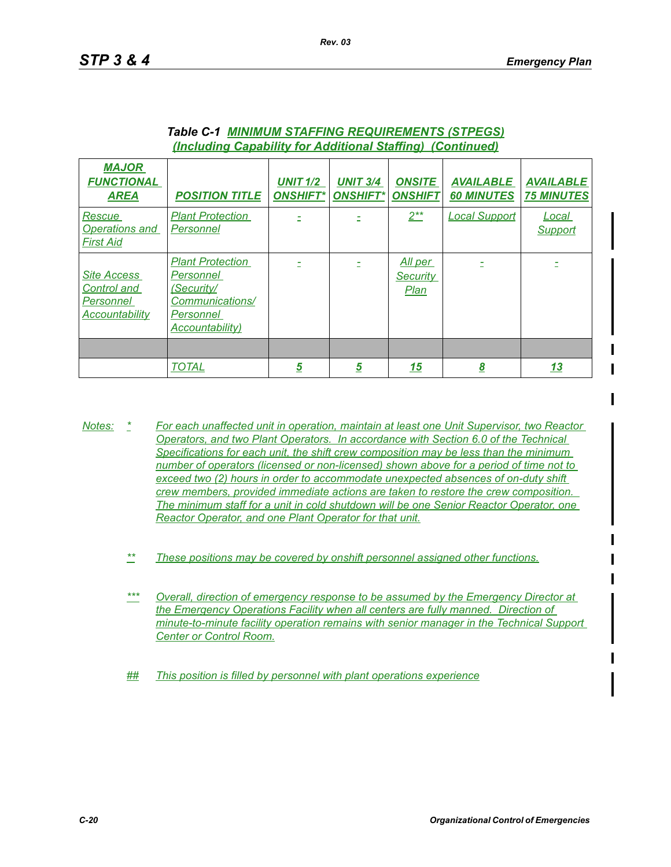| <b>MAJOR</b><br><b>FUNCTIONAL</b><br><b>AREA</b>                               | <b>POSITION TITLE</b>                                                                                 | <b>UNIT 1/2</b><br><b>ONSHIFT*</b> | <b>UNIT 3/4</b><br><b>ONSHIFT*</b> | <b>ONSITE</b><br><b>ONSHIFT</b>    | <b>AVAILABLE</b><br><b>60 MINUTES</b> | <b>AVAILABLE</b><br><b>75 MINUTES</b> |
|--------------------------------------------------------------------------------|-------------------------------------------------------------------------------------------------------|------------------------------------|------------------------------------|------------------------------------|---------------------------------------|---------------------------------------|
| Rescue<br><b>Operations and</b><br><b>First Aid</b>                            | <b>Plant Protection</b><br>Personnel                                                                  |                                    |                                    | $2***$                             | <b>Local Support</b>                  | Local<br>Support                      |
| <b>Site Access</b><br><b>Control and</b><br>Personnel<br><b>Accountability</b> | <b>Plant Protection</b><br>Personnel<br>(Security/<br>Communications/<br>Personnel<br>Accountability) |                                    |                                    | All per<br><b>Security</b><br>Plan |                                       |                                       |
|                                                                                |                                                                                                       |                                    |                                    |                                    |                                       |                                       |
|                                                                                | <b>TOTAL</b>                                                                                          | $\overline{5}$                     | 5                                  | <u> 15</u>                         | <u>8</u>                              | <u> 13</u>                            |

#### *Table C-1 MINIMUM STAFFING REQUIREMENTS (STPEGS) (Including Capability for Additional Staffing) (Continued)*

- *Notes: \* For each unaffected unit in operation, maintain at least one Unit Supervisor, two Reactor Operators, and two Plant Operators. In accordance with Section 6.0 of the Technical Specifications for each unit, the shift crew composition may be less than the minimum number of operators (licensed or non-licensed) shown above for a period of time not to exceed two (2) hours in order to accommodate unexpected absences of on-duty shift crew members, provided immediate actions are taken to restore the crew composition. The minimum staff for a unit in cold shutdown will be one Senior Reactor Operator, one Reactor Operator, and one Plant Operator for that unit.*
	- *\*\* These positions may be covered by onshift personnel assigned other functions.*
	- *\*\*\* Overall, direction of emergency response to be assumed by the Emergency Director at the Emergency Operations Facility when all centers are fully manned. Direction of minute-to-minute facility operation remains with senior manager in the Technical Support Center or Control Room.*
	- *## This position is filled by personnel with plant operations experience*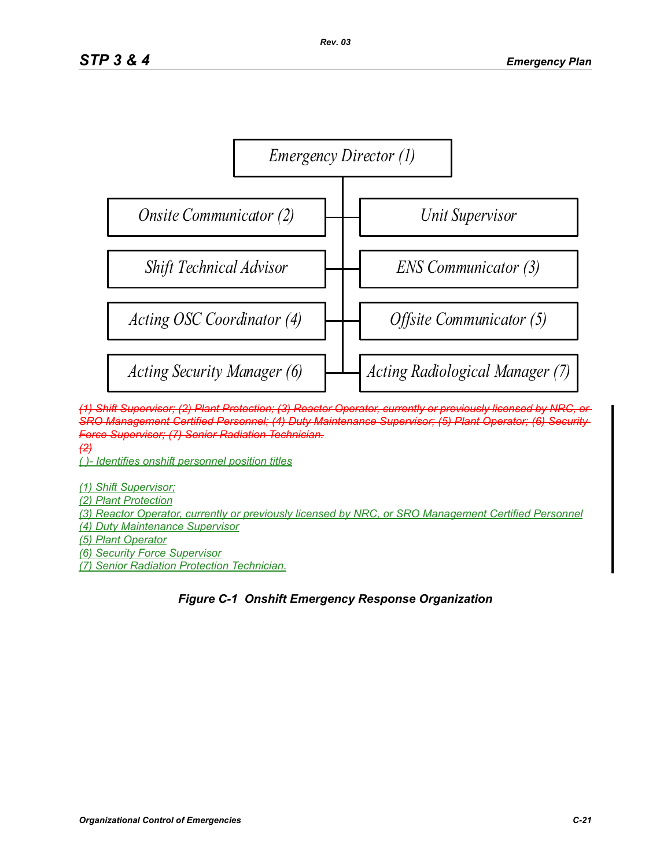

*(1) Shift Supervisor; (2) Plant Protection; (3) Reactor Operator, currently or previously licensed by NRC, or SRO Management Certified Personnel; (4) Duty Maintenance Supervisor; (5) Plant Operator; (6) Security Force Supervisor; (7) Senior Radiation Technician. (2)*

*( )- Identifies onshift personnel position titles*

*(1) Shift Supervisor; (2) Plant Protection (3) Reactor Operator, currently or previously licensed by NRC, or SRO Management Certified Personnel (4) Duty Maintenance Supervisor (5) Plant Operator (6) Security Force Supervisor (7) Senior Radiation Protection Technician.*

# *Figure C-1 Onshift Emergency Response Organization*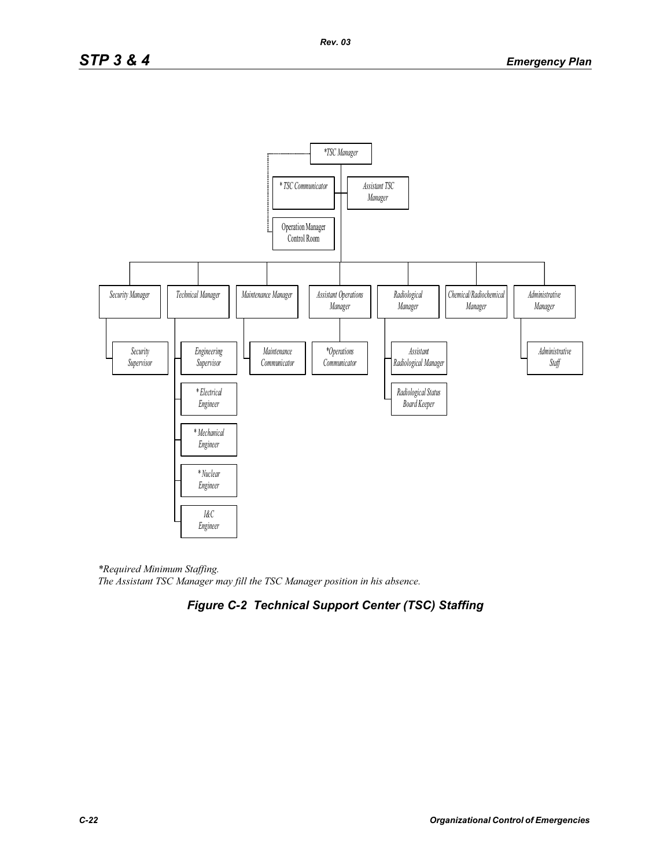

*\*Required Minimum Staffing. The Assistant TSC Manager may fill the TSC Manager position in his absence.* 

# *Figure C-2 Technical Support Center (TSC) Staffing*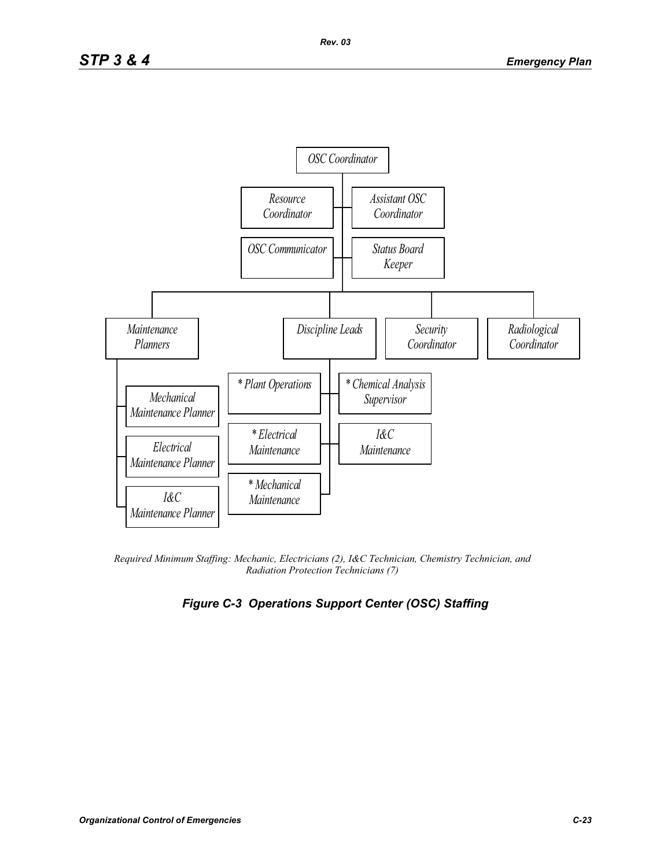

*Required Minimum Staffing: Mechanic, Electricians (2), I&C Technician, Chemistry Technician, and Radiation Protection Technicians (7)* 

# *Figure C-3 Operations Support Center (OSC) Staffing*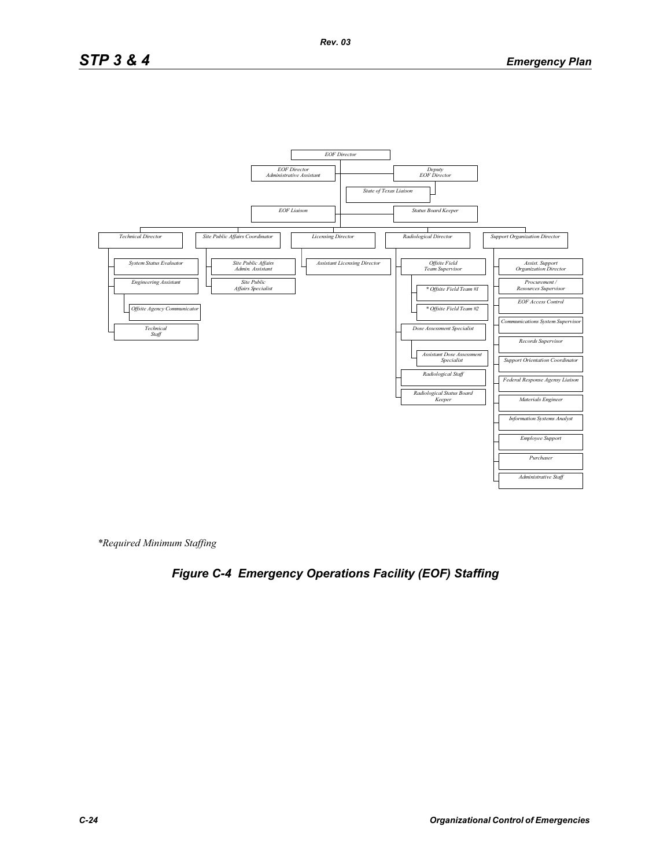# *STP 3 & 4 Emergency Plan*



*\*Required Minimum Staffing*

# *Figure C-4 Emergency Operations Facility (EOF) Staffing*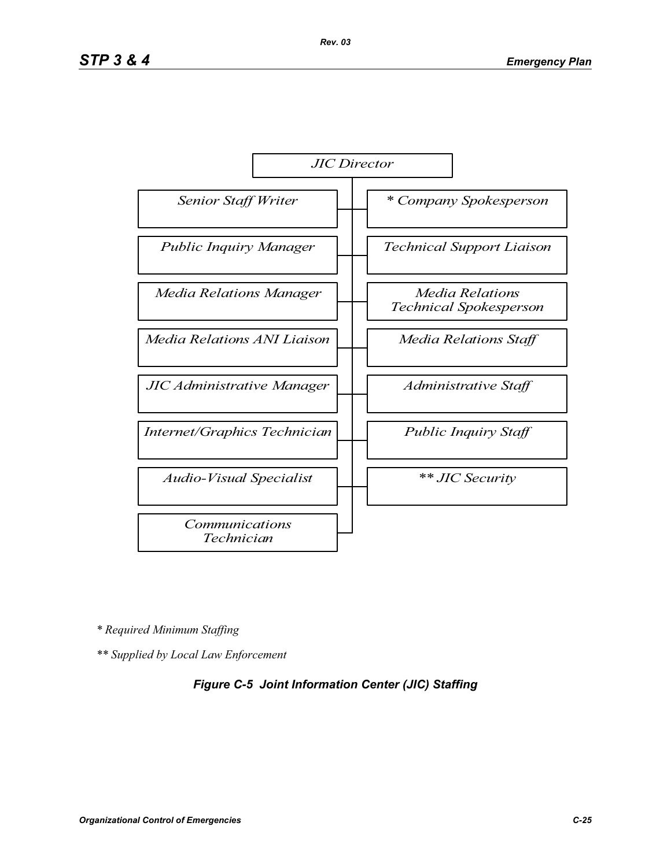

*\* Required Minimum Staffing*

*\*\* Supplied by Local Law Enforcement* 

#### *Figure C-5 Joint Information Center (JIC) Staffing*